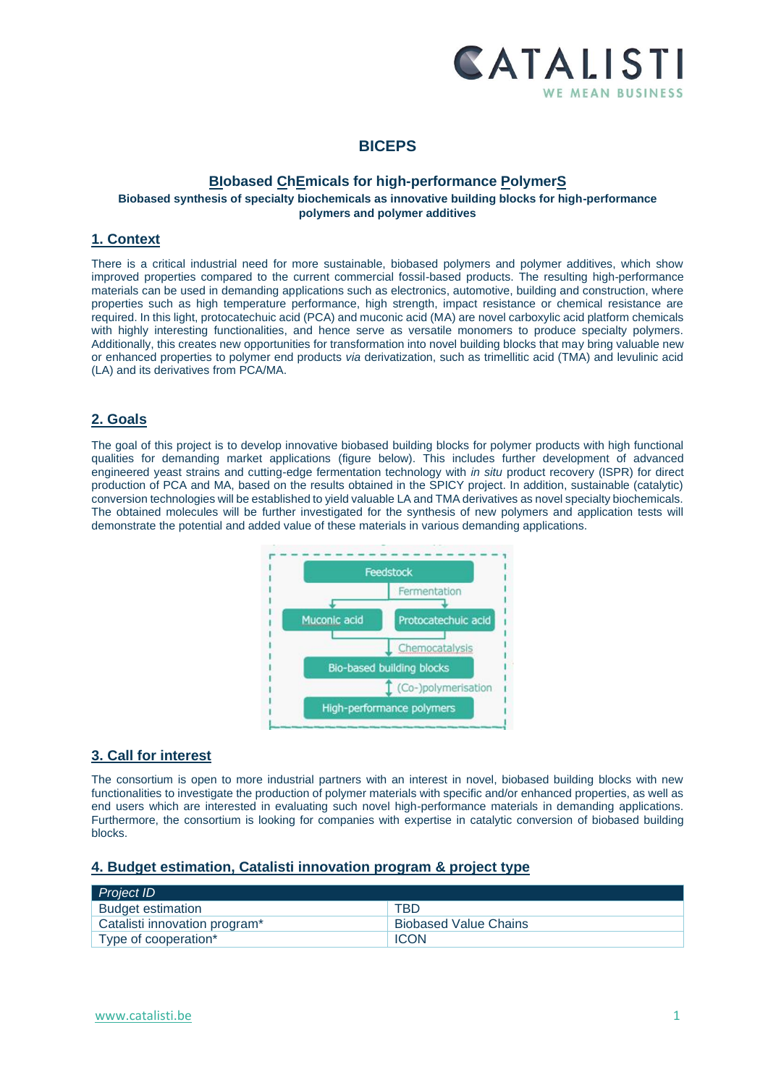

# **BICEPS**

## **BIobased ChEmicals for high-performance PolymerS Biobased synthesis of specialty biochemicals as innovative building blocks for high-performance polymers and polymer additives**

## **1. Context**

There is a critical industrial need for more sustainable, biobased polymers and polymer additives, which show improved properties compared to the current commercial fossil-based products. The resulting high-performance materials can be used in demanding applications such as electronics, automotive, building and construction, where properties such as high temperature performance, high strength, impact resistance or chemical resistance are required. In this light, protocatechuic acid (PCA) and muconic acid (MA) are novel carboxylic acid platform chemicals with highly interesting functionalities, and hence serve as versatile monomers to produce specialty polymers. Additionally, this creates new opportunities for transformation into novel building blocks that may bring valuable new or enhanced properties to polymer end products *via* derivatization, such as trimellitic acid (TMA) and levulinic acid (LA) and its derivatives from PCA/MA.

# **2. Goals**

The goal of this project is to develop innovative biobased building blocks for polymer products with high functional qualities for demanding market applications (figure below). This includes further development of advanced engineered yeast strains and cutting-edge fermentation technology with *in situ* product recovery (ISPR) for direct production of PCA and MA, based on the results obtained in the SPICY project. In addition, sustainable (catalytic) conversion technologies will be established to yield valuable LA and TMA derivatives as novel specialty biochemicals. The obtained molecules will be further investigated for the synthesis of new polymers and application tests will demonstrate the potential and added value of these materials in various demanding applications.



# **3. Call for interest**

The consortium is open to more industrial partners with an interest in novel, biobased building blocks with new functionalities to investigate the production of polymer materials with specific and/or enhanced properties, as well as end users which are interested in evaluating such novel high-performance materials in demanding applications. Furthermore, the consortium is looking for companies with expertise in catalytic conversion of biobased building blocks.

#### **4. Budget estimation, Catalisti innovation program & project type**

| <b>Project ID</b>             |                              |
|-------------------------------|------------------------------|
| <b>Budget estimation</b>      | TBD                          |
| Catalisti innovation program* | <b>Biobased Value Chains</b> |
| Type of cooperation*          | <b>ICON</b>                  |